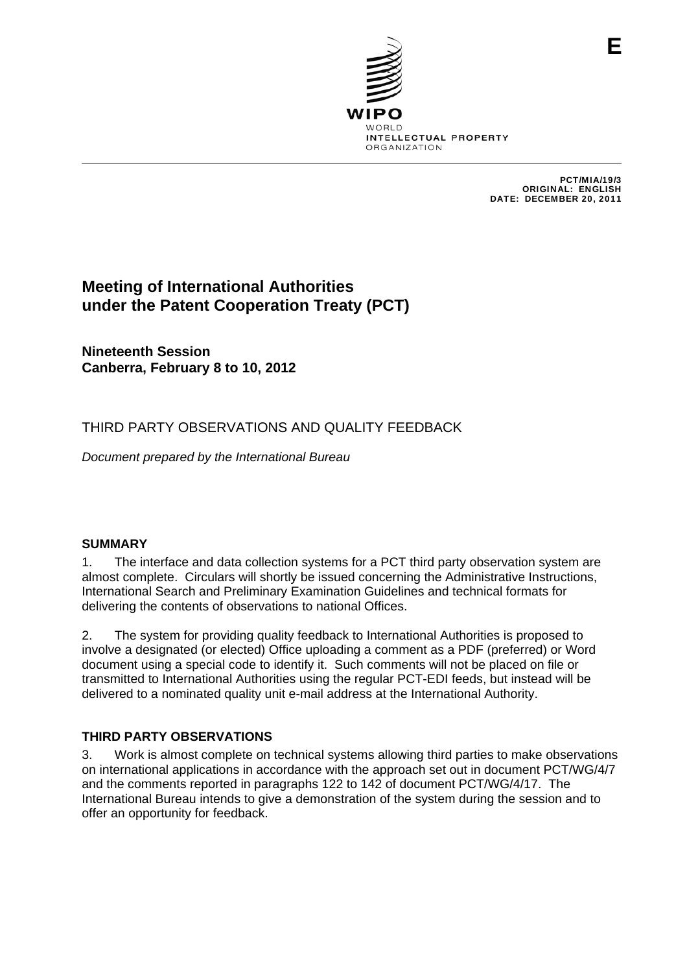

PCT/MIA/19/3 ORIGINAL: ENGLISH DATE: DECEMBER 20, 2011

**E**

# **Meeting of International Authorities under the Patent Cooperation Treaty (PCT)**

**Nineteenth Session Canberra, February 8 to 10, 2012** 

## THIRD PARTY OBSERVATIONS AND QUALITY FEEDBACK

*Document prepared by the International Bureau* 

#### **SUMMARY**

1. The interface and data collection systems for a PCT third party observation system are almost complete. Circulars will shortly be issued concerning the Administrative Instructions, International Search and Preliminary Examination Guidelines and technical formats for delivering the contents of observations to national Offices.

2. The system for providing quality feedback to International Authorities is proposed to involve a designated (or elected) Office uploading a comment as a PDF (preferred) or Word document using a special code to identify it. Such comments will not be placed on file or transmitted to International Authorities using the regular PCT-EDI feeds, but instead will be delivered to a nominated quality unit e-mail address at the International Authority.

## **THIRD PARTY OBSERVATIONS**

3. Work is almost complete on technical systems allowing third parties to make observations on international applications in accordance with the approach set out in document PCT/WG/4/7 and the comments reported in paragraphs 122 to 142 of document PCT/WG/4/17. The International Bureau intends to give a demonstration of the system during the session and to offer an opportunity for feedback.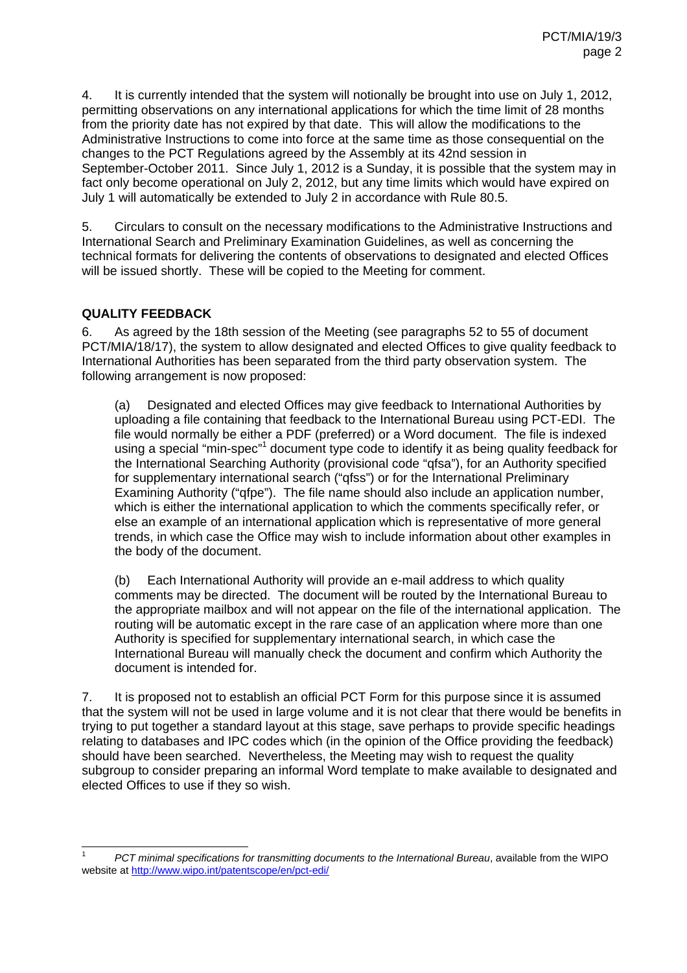4. It is currently intended that the system will notionally be brought into use on July 1, 2012, permitting observations on any international applications for which the time limit of 28 months from the priority date has not expired by that date. This will allow the modifications to the Administrative Instructions to come into force at the same time as those consequential on the changes to the PCT Regulations agreed by the Assembly at its 42nd session in September-October 2011. Since July 1, 2012 is a Sunday, it is possible that the system may in fact only become operational on July 2, 2012, but any time limits which would have expired on July 1 will automatically be extended to July 2 in accordance with Rule 80.5.

5. Circulars to consult on the necessary modifications to the Administrative Instructions and International Search and Preliminary Examination Guidelines, as well as concerning the technical formats for delivering the contents of observations to designated and elected Offices will be issued shortly. These will be copied to the Meeting for comment.

## **QUALITY FEEDBACK**

6. As agreed by the 18th session of the Meeting (see paragraphs 52 to 55 of document PCT/MIA/18/17), the system to allow designated and elected Offices to give quality feedback to International Authorities has been separated from the third party observation system. The following arrangement is now proposed:

(a) Designated and elected Offices may give feedback to International Authorities by uploading a file containing that feedback to the International Bureau using PCT-EDI. The file would normally be either a PDF (preferred) or a Word document. The file is indexed using a special "min-spec"<sup>1</sup> document type code to identify it as being quality feedback for the International Searching Authority (provisional code "qfsa"), for an Authority specified for supplementary international search ("qfss") or for the International Preliminary Examining Authority ("qfpe"). The file name should also include an application number, which is either the international application to which the comments specifically refer, or else an example of an international application which is representative of more general trends, in which case the Office may wish to include information about other examples in the body of the document.

(b) Each International Authority will provide an e-mail address to which quality comments may be directed. The document will be routed by the International Bureau to the appropriate mailbox and will not appear on the file of the international application. The routing will be automatic except in the rare case of an application where more than one Authority is specified for supplementary international search, in which case the International Bureau will manually check the document and confirm which Authority the document is intended for.

7. It is proposed not to establish an official PCT Form for this purpose since it is assumed that the system will not be used in large volume and it is not clear that there would be benefits in trying to put together a standard layout at this stage, save perhaps to provide specific headings relating to databases and IPC codes which (in the opinion of the Office providing the feedback) should have been searched. Nevertheless, the Meeting may wish to request the quality subgroup to consider preparing an informal Word template to make available to designated and elected Offices to use if they so wish.

<sup>1</sup> *PCT minimal specifications for transmitting documents to the International Bureau*, available from the WIPO website at http://www.wipo.int/patentscope/en/pct-edi/